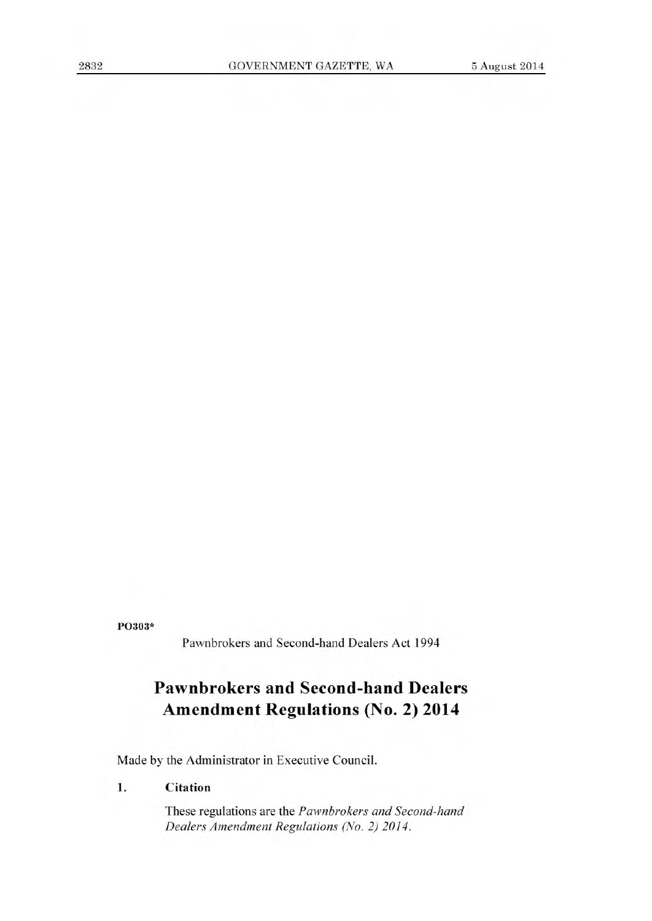**P0303\*** 

Pawnbrokers and Second-hand Dealers Act 1994

# **Pawnbrokers and Second-hand Dealers Amendment Regulations (No. 2) 2014**

Made by the Administrator in Executive Council.

## **1. Citation**

These regulations are the *Pawnbrokers and Second-hand Dealers Amendment Regulations (No. 2) 2014.*